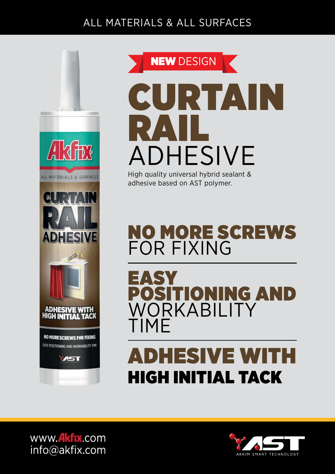#### ALL MATERIALS & ALL SURFACES





# ADHESIVE

High quality universal hybrid sealant & adhesive based on AST polymer.

## NO MORE SCREWS FOR FIXING

EASY<br>Positioni ING AND WORKABILITY TIME

## ADHESIVE WITH HIGH INITIAL TACK

www.**Akfix**.com info@akfix.com